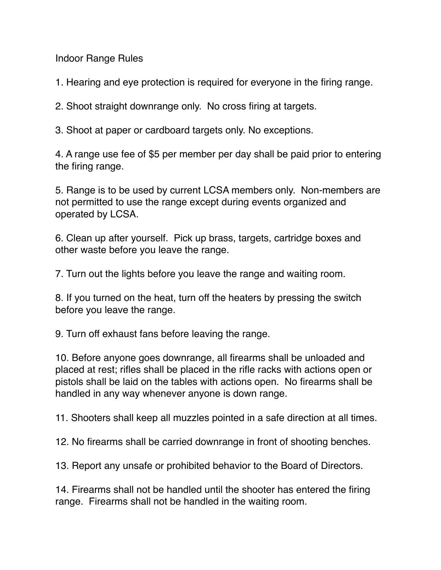Indoor Range Rules

1. Hearing and eye protection is required for everyone in the firing range.

2. Shoot straight downrange only. No cross firing at targets.

3. Shoot at paper or cardboard targets only. No exceptions.

4. A range use fee of \$5 per member per day shall be paid prior to entering the firing range.

5. Range is to be used by current LCSA members only. Non-members are not permitted to use the range except during events organized and operated by LCSA.

6. Clean up after yourself. Pick up brass, targets, cartridge boxes and other waste before you leave the range.

7. Turn out the lights before you leave the range and waiting room.

8. If you turned on the heat, turn off the heaters by pressing the switch before you leave the range.

9. Turn off exhaust fans before leaving the range.

10. Before anyone goes downrange, all firearms shall be unloaded and placed at rest; rifles shall be placed in the rifle racks with actions open or pistols shall be laid on the tables with actions open. No firearms shall be handled in any way whenever anyone is down range.

11. Shooters shall keep all muzzles pointed in a safe direction at all times.

12. No firearms shall be carried downrange in front of shooting benches.

13. Report any unsafe or prohibited behavior to the Board of Directors.

14. Firearms shall not be handled until the shooter has entered the firing range. Firearms shall not be handled in the waiting room.